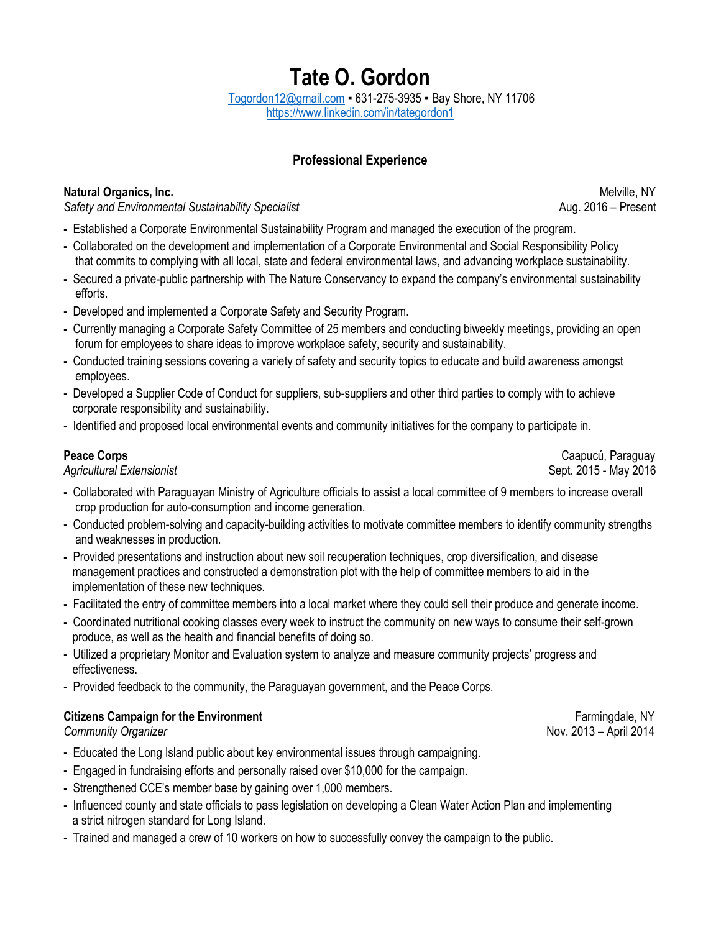# **Tate O. Gordon** [Togordon12@gmail.com](mailto:Togordon12@gmail.com) ▪ 631-275-3935 ▪ Bay Shore, NY 11706 <https://www.linkedin.com/in/tategordon1>

# **Professional Experience**

## **Natural Organics, Inc.** Melville, NY

*Safety and Environmental Sustainability Specialist* Aug. 2016 – Present

- **-** Established a Corporate Environmental Sustainability Program and managed the execution of the program.
- **-** Collaborated on the development and implementation of a Corporate Environmental and Social Responsibility Policy that commits to complying with all local, state and federal environmental laws, and advancing workplace sustainability.
- **-** Secured a private-public partnership with The Nature Conservancy to expand the company's environmental sustainability efforts.
- **-** Developed and implemented a Corporate Safety and Security Program.
- **-** Currently managing a Corporate Safety Committee of 25 members and conducting biweekly meetings, providing an open forum for employees to share ideas to improve workplace safety, security and sustainability.
- **-** Conducted training sessions covering a variety of safety and security topics to educate and build awareness amongst employees.
- **-** Developed a Supplier Code of Conduct for suppliers, sub-suppliers and other third parties to comply with to achieve corporate responsibility and sustainability.
- **-** Identified and proposed local environmental events and community initiatives for the company to participate in.

*Agricultural Extensionist* Sept. 2015 - May 2016

- **Peace Corps** Caapucú, Paraguay Caapucú, Paraguay Caapucú, Paraguay Caapucú, Paraguay Caapucú, Paraguay Caapucú, Paraguay Caapucú, Paraguay Caapucú, Paraguay Caapucú, Paraguay Caapucú, Paraguay Caapucú, Paraguay Caapucú, P
- **-** Collaborated with Paraguayan Ministry of Agriculture officials to assist a local committee of 9 members to increase overall crop production for auto-consumption and income generation.
- **-** Conducted problem-solving and capacity-building activities to motivate committee members to identify community strengths and weaknesses in production.
- **-** Provided presentations and instruction about new soil recuperation techniques, crop diversification, and disease management practices and constructed a demonstration plot with the help of committee members to aid in the implementation of these new techniques.
- **-** Facilitated the entry of committee members into a local market where they could sell their produce and generate income.
- **-** Coordinated nutritional cooking classes every week to instruct the community on new ways to consume their self-grown produce, as well as the health and financial benefits of doing so.
- **-** Utilized a proprietary Monitor and Evaluation system to analyze and measure community projects' progress and effectiveness.
- **-** Provided feedback to the community, the Paraguayan government, and the Peace Corps.

## **Citizens Campaign for the Environment Farmingdale, NY Farmingdale, NY**

*Community Organizer* Nov. 2013 – April 2014

- **-** Educated the Long Island public about key environmental issues through campaigning.
- **-** Engaged in fundraising efforts and personally raised over \$10,000 for the campaign.
- **-** Strengthened CCE's member base by gaining over 1,000 members.
- **-** Influenced county and state officials to pass legislation on developing a Clean Water Action Plan and implementing a strict nitrogen standard for Long Island.
- **-** Trained and managed a crew of 10 workers on how to successfully convey the campaign to the public.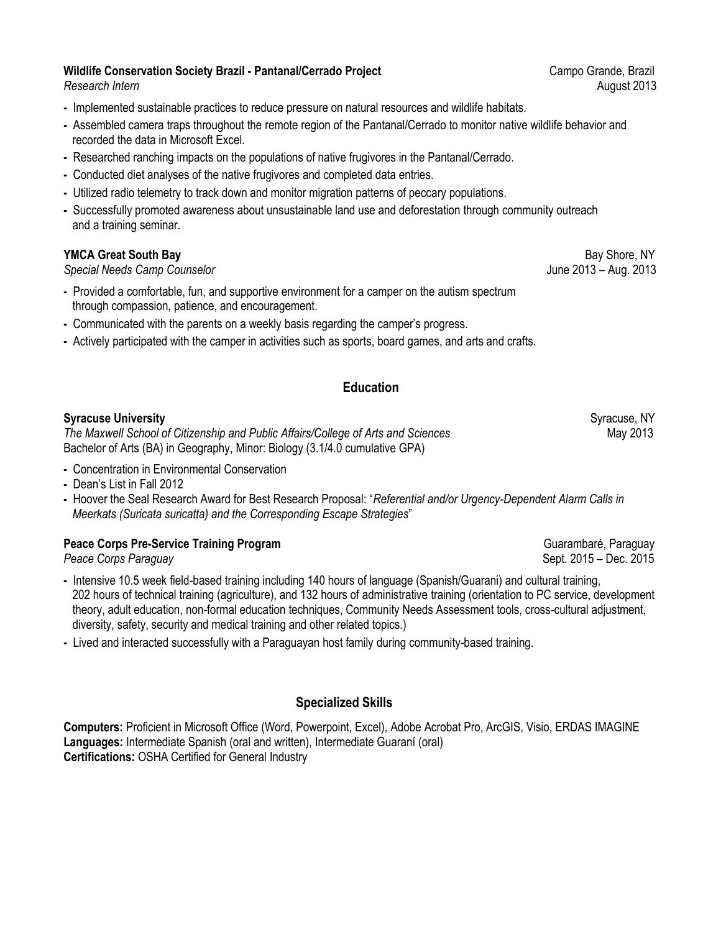## **Wildlife Conservation Society Brazil - Pantanal/Cerrado Project <b>Campo Grande, Brazil** Campo Grande, Brazil

- **-** Implemented sustainable practices to reduce pressure on natural resources and wildlife habitats.
- **-** Assembled camera traps throughout the remote region of the Pantanal/Cerrado to monitor native wildlife behavior and recorded the data in Microsoft Excel.
- **-** Researched ranching impacts on the populations of native frugivores in the Pantanal/Cerrado.
- **-** Conducted diet analyses of the native frugivores and completed data entries.
- **-** Utilized radio telemetry to track down and monitor migration patterns of peccary populations.
- **-** Successfully promoted awareness about unsustainable land use and deforestation through community outreach and a training seminar.

## **YMCA Great South Bay** Bay Shore, NY

*Special Needs Camp Counselor* June 2013 – Aug. 2013

- **-** Provided a comfortable, fun, and supportive environment for a camper on the autism spectrum through compassion, patience, and encouragement.
- **-** Communicated with the parents on a weekly basis regarding the camper's progress.
- **-** Actively participated with the camper in activities such as sports, board games, and arts and crafts.

## **Education**

#### **Syracuse University** Syracuse, NY

The Maxwell School of Citizenship and Public Affairs/College of Arts and Sciences Maxwell School of Citizenship and Public Affairs/College of Arts and Sciences Bachelor of Arts (BA) in Geography, Minor: Biology (3.1/4.0 cumulative GPA)

- **-** Concentration in Environmental Conservation
- **-** Dean's List in Fall 2012
- **-** Hoover the Seal Research Award for Best Research Proposal: "*Referential and/or Urgency-Dependent Alarm Calls in Meerkats (Suricata suricatta) and the Corresponding Escape Strategies*"

### **Peace Corps Pre-Service Training Program** Guarambaré, Paraguay **Guarambaré, Paraguay**

*Peace Corps Paraguay* Sept. 2015 – Dec. 2015

- **-** Intensive 10.5 week field-based training including 140 hours of language (Spanish/Guarani) and cultural training, 202 hours of technical training (agriculture), and 132 hours of administrative training (orientation to PC service, development theory, adult education, non-formal education techniques, Community Needs Assessment tools, cross-cultural adjustment, diversity, safety, security and medical training and other related topics.)
- **-** Lived and interacted successfully with a Paraguayan host family during community-based training.

## **Specialized Skills**

**Computers:** Proficient in Microsoft Office (Word, Powerpoint, Excel), Adobe Acrobat Pro, ArcGIS, Visio, ERDAS IMAGINE **Languages:** Intermediate Spanish (oral and written), Intermediate Guaraní (oral) **Certifications:** OSHA Certified for General Industry

**Research Intern and August 2013 August 2013**